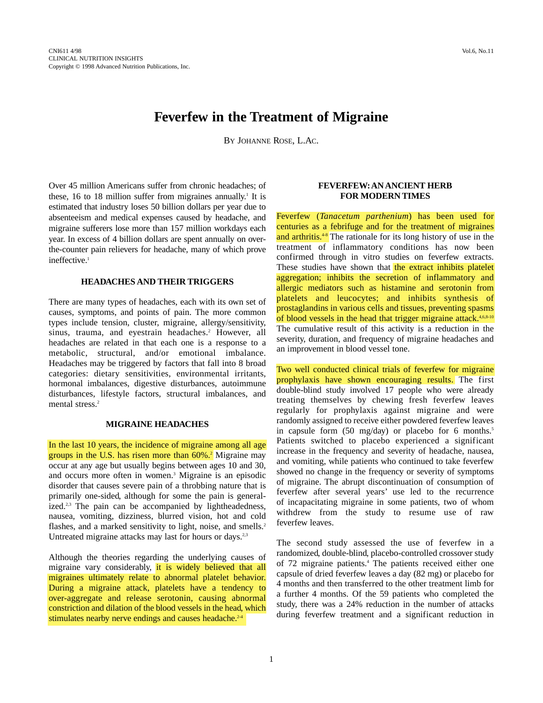# **Feverfew in the Treatment of Migraine**

BY JOHANNE ROSE, L.AC.

Over 45 million Americans suffer from chronic headaches; of these, 16 to 18 million suffer from migraines annually.<sup>1</sup> It is estimated that industry loses 50 billion dollars per year due to absenteeism and medical expenses caused by headache, and migraine sufferers lose more than 157 million workdays each year. In excess of 4 billion dollars are spent annually on overthe-counter pain relievers for headache, many of which prove ineffective.<sup>1</sup>

#### **HEADACHES AND THEIR TRIGGERS**

There are many types of headaches, each with its own set of causes, symptoms, and points of pain. The more common types include tension, cluster, migraine, allergy/sensitivity, sinus, trauma, and eyestrain headaches.<sup>2</sup> However, all headaches are related in that each one is a response to a metabolic, structural, and/or emotional imbalance. Headaches may be triggered by factors that fall into 8 broad categories: dietary sensitivities, environmental irritants, hormonal imbalances, digestive disturbances, autoimmune disturbances, lifestyle factors, structural imbalances, and mental stress.<sup>2</sup>

## **MIGRAINE HEADACHES**

In the last 10 years, the incidence of migraine among all age groups in the U.S. has risen more than 60%.2 Migraine may occur at any age but usually begins between ages 10 and 30, and occurs more often in women.3 Migraine is an episodic disorder that causes severe pain of a throbbing nature that is primarily one-sided, although for some the pain is generalized.<sup>2,3</sup> The pain can be accompanied by lightheadedness, nausea, vomiting, dizziness, blurred vision, hot and cold flashes, and a marked sensitivity to light, noise, and smells.<sup>2</sup> Untreated migraine attacks may last for hours or days.<sup>2,3</sup>

Although the theories regarding the underlying causes of migraine vary considerably, it is widely believed that all migraines ultimately relate to abnormal platelet behavior. During a migraine attack, platelets have a tendency to over-aggregate and release serotonin, causing abnormal constriction and dilation of the blood vessels in the head, which stimulates nearby nerve endings and causes headache. $2-4$ 

### **FEVERFEW:AN ANCIENT HERB FOR MODERN TIMES**

Feverfew (*Tanacetum parthenium*) has been used for centuries as a febrifuge and for the treatment of migraines and arthritis.<sup>4-8</sup> The rationale for its long history of use in the treatment of inflammatory conditions has now been confirmed through in vitro studies on feverfew extracts. These studies have shown that the extract inhibits platelet aggregation; inhibits the secretion of inflammatory and allergic mediators such as histamine and serotonin from platelets and leucocytes; and inhibits synthesis of prostaglandins in various cells and tissues, preventing spasms of blood vessels in the head that trigger migraine attack.<sup>4,6,8-10</sup> The cumulative result of this activity is a reduction in the severity, duration, and frequency of migraine headaches and an improvement in blood vessel tone.

Two well conducted clinical trials of feverfew for migraine prophylaxis have shown encouraging results. The first double-blind study involved 17 people who were already treating themselves by chewing fresh feverfew leaves regularly for prophylaxis against migraine and were randomly assigned to receive either powdered feverfew leaves in capsule form  $(50 \text{ mg/day})$  or placebo for 6 months.<sup>5</sup> Patients switched to placebo experienced a significant increase in the frequency and severity of headache, nausea, and vomiting, while patients who continued to take feverfew showed no change in the frequency or severity of symptoms of migraine. The abrupt discontinuation of consumption of feverfew after several years' use led to the recurrence of incapacitating migraine in some patients, two of whom withdrew from the study to resume use of raw feverfew leaves.

The second study assessed the use of feverfew in a randomized, double-blind, placebo-controlled crossover study of 72 migraine patients.<sup>4</sup> The patients received either one capsule of dried feverfew leaves a day (82 mg) or placebo for 4 months and then transferred to the other treatment limb for a further 4 months. Of the 59 patients who completed the study, there was a 24% reduction in the number of attacks during feverfew treatment and a significant reduction in